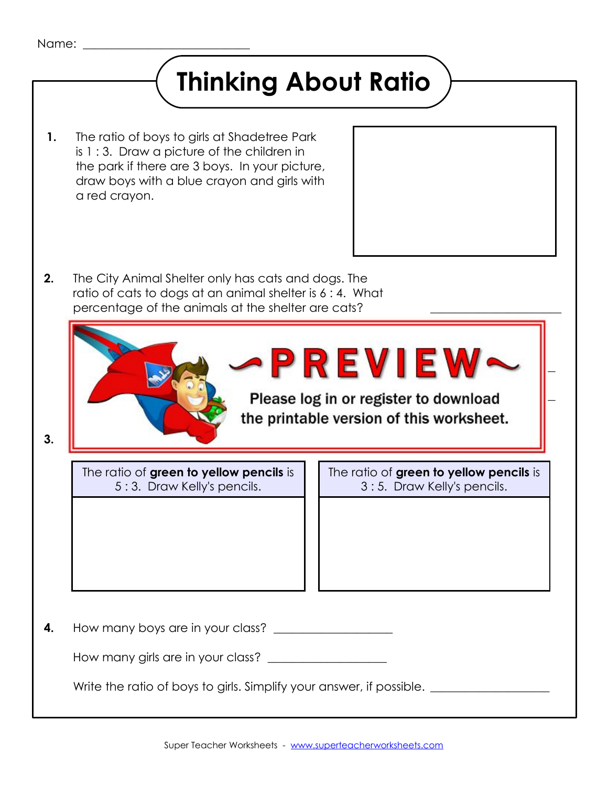## **Thinking About Ratio**

- **1.** The ratio of boys to girls at Shadetree Park is 1 : 3. Draw a picture of the children in the park if there are 3 boys. In your picture, draw boys with a blue crayon and girls with a red crayon.
- **2.** The City Animal Shelter only has cats and dogs. The ratio of cats to dogs at an animal shelter is 6 : 4. What percentage of the animals at the shelter are cats?

Explain how you figured out the answer to the question above.

 **3.** Kelly has 8 pencils and yellow. The pencils are green and yellow. The pencils are green and yellow.

The ratio of **green to yellow pencils** is 5 : 3. Draw Kelly's pencils.

The ratio of **green to yellow pencils** is 3 : 5. Draw Kelly's pencils.

PREVIEW~

Please log in or register to download

the printable version of this worksheet.

**4.** How many boys are in your class?

How many girls are in your class? \_\_\_\_\_\_\_\_\_\_\_\_\_\_\_\_\_\_\_\_

Write the ratio of boys to girls. Simplify your answer, if possible. \_\_\_\_\_\_\_\_\_\_\_